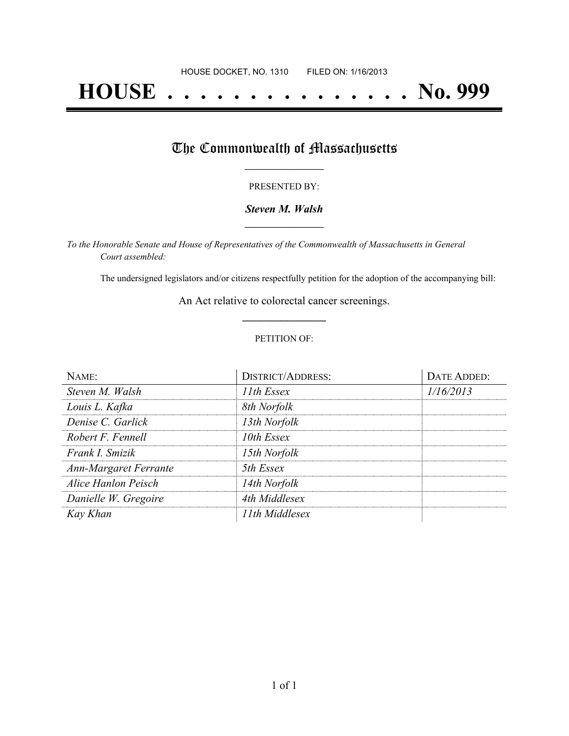# **HOUSE . . . . . . . . . . . . . . . No. 999**

## The Commonwealth of Massachusetts

### PRESENTED BY:

## *Steven M. Walsh* **\_\_\_\_\_\_\_\_\_\_\_\_\_\_\_\_\_**

*To the Honorable Senate and House of Representatives of the Commonwealth of Massachusetts in General Court assembled:*

The undersigned legislators and/or citizens respectfully petition for the adoption of the accompanying bill:

An Act relative to colorectal cancer screenings. **\_\_\_\_\_\_\_\_\_\_\_\_\_\_\_**

#### PETITION OF:

| NAME:                        | <b>DISTRICT/ADDRESS:</b> | DATE ADDED: |
|------------------------------|--------------------------|-------------|
| Steven M. Walsh              | 11th Essex               | 1/16/2013   |
| Louis L. Kafka               | 8th Norfolk              |             |
| Denise C. Garlick            | 13th Norfolk             |             |
| Robert F. Fennell            | 10th Essex               |             |
| Frank I. Smizik              | 15th Norfolk             |             |
| <b>Ann-Margaret Ferrante</b> | 5th Essex                |             |
| Alice Hanlon Peisch          | 14th Norfolk             |             |
| Danielle W. Gregoire         | 4th Middlesex            |             |
| Kay Khan                     | 11th Middlesex           |             |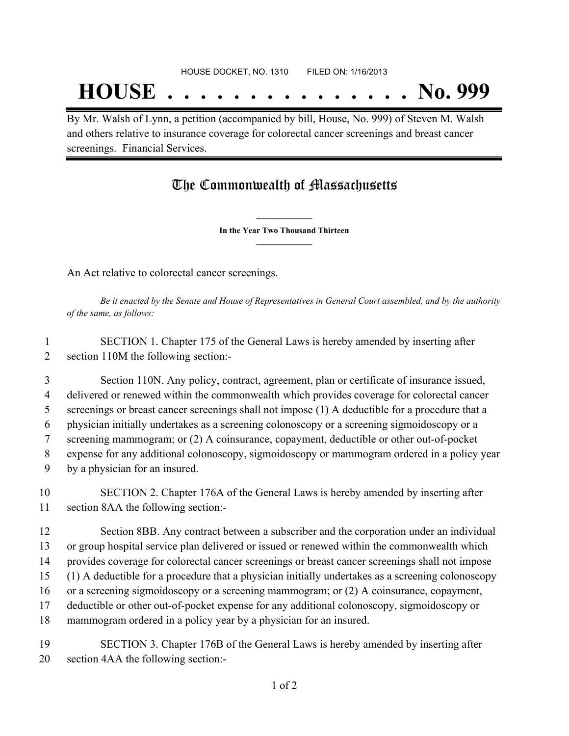By Mr. Walsh of Lynn, a petition (accompanied by bill, House, No. 999) of Steven M. Walsh and others relative to insurance coverage for colorectal cancer screenings and breast cancer screenings. Financial Services.

# The Commonwealth of Massachusetts

**\_\_\_\_\_\_\_\_\_\_\_\_\_\_\_ In the Year Two Thousand Thirteen \_\_\_\_\_\_\_\_\_\_\_\_\_\_\_**

An Act relative to colorectal cancer screenings.

Be it enacted by the Senate and House of Representatives in General Court assembled, and by the authority *of the same, as follows:*

 SECTION 1. Chapter 175 of the General Laws is hereby amended by inserting after section 110M the following section:-

 Section 110N. Any policy, contract, agreement, plan or certificate of insurance issued, delivered or renewed within the commonwealth which provides coverage for colorectal cancer screenings or breast cancer screenings shall not impose (1) A deductible for a procedure that a physician initially undertakes as a screening colonoscopy or a screening sigmoidoscopy or a screening mammogram; or (2) A coinsurance, copayment, deductible or other out-of-pocket expense for any additional colonoscopy, sigmoidoscopy or mammogram ordered in a policy year by a physician for an insured.

 SECTION 2. Chapter 176A of the General Laws is hereby amended by inserting after section 8AA the following section:-

 Section 8BB. Any contract between a subscriber and the corporation under an individual or group hospital service plan delivered or issued or renewed within the commonwealth which provides coverage for colorectal cancer screenings or breast cancer screenings shall not impose (1) A deductible for a procedure that a physician initially undertakes as a screening colonoscopy or a screening sigmoidoscopy or a screening mammogram; or (2) A coinsurance, copayment,

deductible or other out-of-pocket expense for any additional colonoscopy, sigmoidoscopy or

mammogram ordered in a policy year by a physician for an insured.

 SECTION 3. Chapter 176B of the General Laws is hereby amended by inserting after section 4AA the following section:-